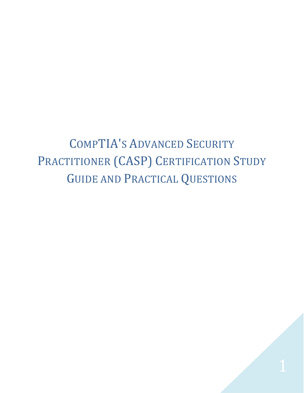<span id="page-0-0"></span>COMPTIA'S ADVANCED SECURITY PRACTITIONER (CASP) CERTIFICATION STUDY GUIDE AND PRACTICAL QUESTIONS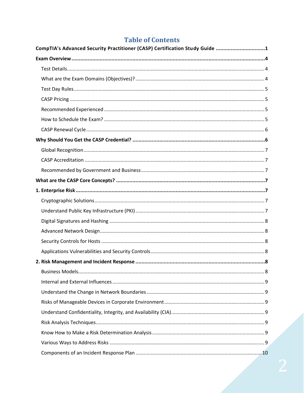# **Table of Contents**

| CompTIA's Advanced Security Practitioner (CASP) Certification Study Guide 1 |  |
|-----------------------------------------------------------------------------|--|
|                                                                             |  |
|                                                                             |  |
|                                                                             |  |
|                                                                             |  |
|                                                                             |  |
|                                                                             |  |
|                                                                             |  |
|                                                                             |  |
|                                                                             |  |
|                                                                             |  |
|                                                                             |  |
|                                                                             |  |
|                                                                             |  |
|                                                                             |  |
|                                                                             |  |
|                                                                             |  |
|                                                                             |  |
|                                                                             |  |
|                                                                             |  |
|                                                                             |  |
|                                                                             |  |
|                                                                             |  |
|                                                                             |  |
|                                                                             |  |
|                                                                             |  |
|                                                                             |  |
|                                                                             |  |
|                                                                             |  |
|                                                                             |  |
|                                                                             |  |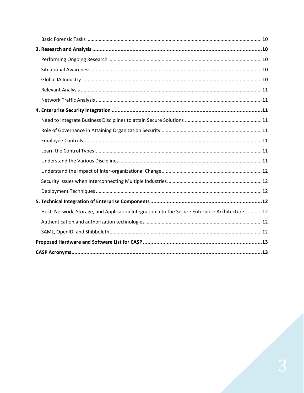| Host, Network, Storage, and Application Integration into the Secure Enterprise Architecture  12 |  |
|-------------------------------------------------------------------------------------------------|--|
|                                                                                                 |  |
|                                                                                                 |  |
|                                                                                                 |  |
|                                                                                                 |  |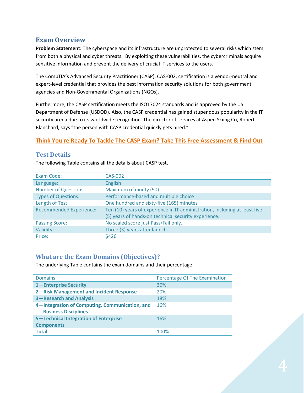# <span id="page-3-0"></span>**Exam Overview**

**Problem Statement:** The cyberspace and its infrastructure are unprotected to several risks which stem from both a physical and cyber threats. By exploiting these vulnerabilities, the cybercriminals acquire sensitive information and prevent the delivery of crucial IT services to the users.

The CompTIA's Advanced Security Practitioner (CASP), CAS-002, certification is a vendor-neutral and expert-level credential that provides the best information security solutions for both government agencies and Non-Governmental Organizations (NGOs).

Furthermore, the CASP certification meets the ISO17024 standards and is approved by the US Department of Defense (USDOD). Also, the CASP credential has gained stupendous popularity in the IT security arena due to its worldwide recognition. The director of services at Aspen Skiing Co, Robert Blanchard, says "the person with CASP credential quickly gets hired."

#### **[Think You're Ready To Tackle The CASP Exam? Take This Free Assessment & Find Out](https://phoenixts.com/resources/casp-assessment/)**

#### <span id="page-3-1"></span>**Test Details**

The following Table contains all the details about CASP test.

| Exam Code:                     | CAS-002                                                                    |
|--------------------------------|----------------------------------------------------------------------------|
| Language:                      | <b>English</b>                                                             |
| <b>Number of Questions:</b>    | Maximum of ninety (90)                                                     |
| <b>Types of Questions:</b>     | Performance-based and multiple choice                                      |
| Length of Test:                | One hundred and sixty-five (165) minutes                                   |
| <b>Recommended Experience:</b> | Ten (10) years of experience in IT administration, including at least five |
|                                | (5) years of hands-on technical security experience.                       |
| <b>Passing Score:</b>          | No scaled score just Pass/Fail only.                                       |
| Validity:                      | Three (3) years after launch                                               |
| Price:                         | \$426                                                                      |

### <span id="page-3-2"></span>**What are the Exam Domains (Objectives)?**

The underlying Table contains the exam domains and their percentage.

| <b>Domains</b>                                                                | Percentage Of The Examination |
|-------------------------------------------------------------------------------|-------------------------------|
| 1-Enterprise Security                                                         | 30%                           |
| 2-Risk Management and Incident Response                                       | 20%                           |
| <b>3-Research and Analysis</b>                                                | 18%                           |
| 4-Integration of Computing, Communication, and<br><b>Business Disciplines</b> | 16%                           |
| 5-Technical Integration of Enterprise                                         | 16%                           |
| <b>Components</b>                                                             |                               |
| <b>Total</b>                                                                  | 100%                          |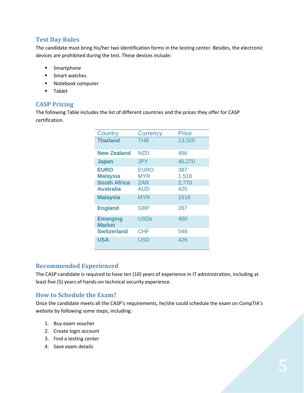#### <span id="page-4-0"></span>**Test Day Rules**

The candidate must bring his/her two identification forms in the testing center. Besides, the electronic devices are prohibited during the test. These devices include:

- **■** Smartphone
- Smart watches
- Notebook computer
- Tablet

### <span id="page-4-1"></span>**CASP Pricing**

The following Table includes the list of different countries and the prices they offer for CASP certification.

| Country                                 | <b>Currency</b>    | <b>Price</b> |
|-----------------------------------------|--------------------|--------------|
| <b>Thailand</b>                         | THB                | 13,320       |
| <b>New Zealand</b>                      | NZD                | 456          |
| <b>Japan</b>                            | <b>JPY</b>         | 45,270       |
| <b>EURO</b><br><b>Malaysia</b>          | <b>EURO</b><br>MYR | 387<br>1,518 |
| <b>South Africa</b><br><b>Australia</b> | <b>ZAR</b><br>AUD  | 2,770<br>425 |
| <b>Malaysia</b>                         | <b>MYR</b>         | 1518         |
| <b>England</b>                          | <b>GBP</b>         | 267          |
| <b>Emerging</b><br><b>Market</b>        | <b>USDe</b>        | 400          |
| <b>Switzerland</b>                      | <b>CHF</b>         | 548          |
| <b>USA</b>                              | <b>USD</b>         | 426          |

#### <span id="page-4-2"></span>**Recommended Experienced**

The CASP candidate is required to have ten (10) years of experience in IT administration, including at least five (5) years of hands-on technical security experience.

#### <span id="page-4-3"></span>**How to Schedule the Exam?**

Once the candidate meets all the CASP's requirements, he/she could schedule the exam on CompTIA's website by following some steps, including:

- 1. Buy exam voucher
- 2. Create login account
- 3. Find a testing center
- 4. Save exam details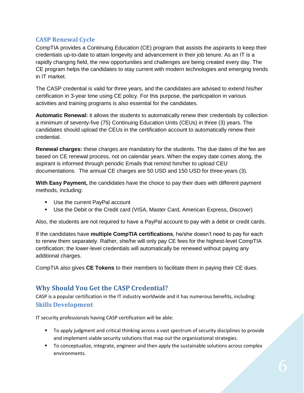### <span id="page-5-0"></span>**CASP Renewal Cycle**

CompTIA provides a Continuing Education (CE) program that assists the aspirants to keep their credentials up-to-date to attain longevity and advancement in their job tenure. As an IT is a rapidly changing field, the new opportunities and challenges are being created every day. The CE program helps the candidates to stay current with modern technologies and emerging trends in IT market.

The CASP credential is valid for three years, and the candidates are advised to extend his/her certification in 3-year time using CE policy. For this purpose, the participation in various activities and training programs is also essential for the candidates.

**Automatic Renewal:** it allows the students to automatically renew their credentials by collection a minimum of seventy-five (75) Continuing Education Units (CEUs) in three (3) years. The candidates should upload the CEUs in the certification account to automatically renew their credential.

**Renewal charges:** these charges are mandatory for the students. The due dates of the fee are based on CE renewal process, not on calendar years. When the expiry date comes along, the aspirant is informed through periodic Emails that remind him/her to upload CEU documentations. The annual CE charges are 50 USD and 150 USD for three-years (3).

**With Easy Payment,** the candidates have the choice to pay their dues with different payment methods, including:

- Use the current PayPal account
- Use the Debit or the Credit card (VISA, Master Card, American Express, Discover)

Also, the students are not required to have a PayPal account to pay with a debit or credit cards.

If the candidates have **multiple CompTIA certifications**, he/she doesn't need to pay for each to renew them separately. Rather, she/he will only pay CE fees for the highest-level CompTIA certification; the lower-level credentials will automatically be renewed without paying any additional charges.

CompTIA also gives **CE Tokens** to their members to facilitate them in paying their CE dues.

# <span id="page-5-1"></span>**Why Should You Get the CASP Credential?**

CASP is a popular certification in the IT industry worldwide and it has numerous benefits, including: **Skills Development**

IT security professionals having CASP certification will be able:

- To apply judgment and critical thinking across a vast spectrum of security disciplines to provide and implement viable security solutions that map out the organizational strategies.
- To conceptualize, integrate, engineer and then apply the sustainable solutions across complex environments.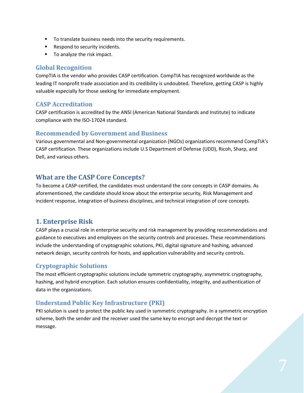- To translate business needs into the security requirements.
- Respond to security incidents.
- To analyze the risk impact.

#### <span id="page-6-0"></span>**Global Recognition**

CompTIA is the vendor who provides CASP certification. CompTIA has recognized worldwide as the leading IT nonprofit trade association and its credibility is undoubted. Therefore, getting CASP is highly valuable especially for those seeking for immediate employment.

### <span id="page-6-1"></span>**CASP Accreditation**

CASP certification is accredited by the ANSI (American National Standards and Institute) to indicate compliance with the ISO-17024 standard.

#### <span id="page-6-2"></span>**Recommended by Government and Business**

Various governmental and Non-governmental organization (NGOs) organizations recommend CompTIA's CASP certification. These organizations include U.S Department of Defense (UDD), Ricoh, Sharp, and Dell, and various others.

# <span id="page-6-3"></span>**What are the CASP Core Concepts?**

To become a CASP-certified, the candidates must understand the core concepts in CASP domains. As aforementioned, the candidate should know about the enterprise security, Risk Management and incident response, integration of business disciplines, and technical integration of core concepts.

# <span id="page-6-4"></span>**1. Enterprise Risk**

CASP plays a crucial role in enterprise security and risk management by providing recommendations and guidance to executives and employees on the security controls and processes. These recommendations include the understanding of cryptographic solutions, PKI, digital signature and hashing, advanced network design, security controls for hosts, and application vulnerability and security controls.

### <span id="page-6-5"></span>**Cryptographic Solutions**

The most efficient cryptographic solutions include symmetric cryptography, asymmetric cryptography, hashing, and hybrid encryption. Each solution ensures confidentiality, integrity, and authentication of data in the organizations.

### <span id="page-6-6"></span>**Understand Public Key Infrastructure (PKI)**

PKI solution is used to protect the public key used in symmetric cryptography. In a symmetric encryption scheme, both the sender and the receiver used the same key to encrypt and decrypt the text or message.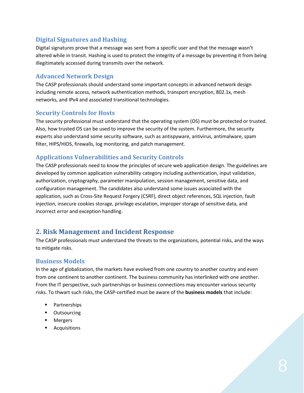### <span id="page-7-0"></span>**Digital Signatures and Hashing**

Digital signatures prove that a message was sent from a specific user and that the message wasn't altered while in transit. Hashing is used to protect the integrity of a message by preventing it from being illegitimately accessed during transmits over the network.

#### <span id="page-7-1"></span>**Advanced Network Design**

The CASP professionals should understand some important concepts in advanced network design including remote access, network authentication methods, transport encryption, 802.1x, mesh networks, and IPv4 and associated transitional technologies.

#### <span id="page-7-2"></span>**Security Controls for Hosts**

The security professional must understand that the operating system (OS) must be protected or trusted. Also, how trusted OS can be used to improve the security of the system. Furthermore, the security experts also understand some security software, such as antispyware, antivirus, antimalware, spam filter, HIPS/HIDS, firewalls, log monitoring, and patch management.

### <span id="page-7-3"></span>**Applications Vulnerabilities and Security Controls**

The CASP professionals need to know the principles of secure web application design. The guidelines are developed by common application vulnerability category including authentication, input validation, authorization, cryptography, parameter manipulation, session management, sensitive data, and configuration management. The candidates also understand some issues associated with the application, such as Cross-Site Request Forgery (CSRF), direct object references, SQL injection, fault injection, insecure cookies storage, privilege escalation, improper storage of sensitive data, and incorrect error and exception handling.

# <span id="page-7-4"></span>**2. Risk Management and Incident Response**

The CASP professionals must understand the threats to the organizations, potential risks, and the ways to mitigate risks.

#### <span id="page-7-5"></span>**Business Models**

In the age of globalization, the markets have evolved from one country to another country and even from one continent to another continent. The business community has interlinked with one another. From the IT perspective, such partnerships or business connections may encounter various security risks. To thwart such risks, the CASP-certified must be aware of the **business models** that include:

- Partnerships
- Outsourcing
- Mergers
- Acquisitions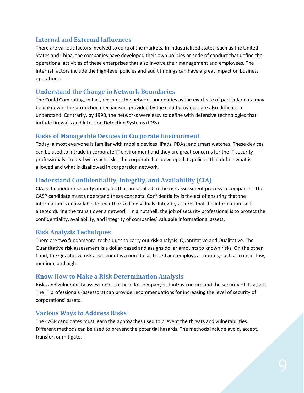#### <span id="page-8-0"></span>**Internal and External Influences**

There are various factors involved to control the markets. In industrialized states, such as the United States and China, the companies have developed their own policies or code of conduct that define the operational activities of these enterprises that also involve their management and employees. The internal factors include the high-level policies and audit findings can have a great impact on business operations.

#### <span id="page-8-1"></span>**Understand the Change in Network Boundaries**

The Could Computing, in fact, obscures the network boundaries as the exact site of particular data may be unknown. The protection mechanisms provided by the cloud providers are also difficult to understand. Contrarily, by 1990, the networks were easy to define with defensive technologies that include firewalls and Intrusion Detection Systems (IDSs).

#### <span id="page-8-2"></span>**Risks of Manageable Devices in Corporate Environment**

Today, almost everyone is familiar with mobile devices, iPads, PDAs, and smart watches. These devices can be used to intrude in corporate IT environment and they are great concerns for the IT security professionals. To deal with such risks, the corporate has developed its policies that define what is allowed and what is disallowed in corporation network.

### <span id="page-8-3"></span>**Understand Confidentiality, Integrity, and Availability (CIA)**

CIA is the modern security principles that are applied to the risk assessment process in companies. The CASP candidate must understand these concepts. Confidentiality is the act of ensuring that the information is unavailable to unauthorized individuals. Integrity assures that the information isn't altered during the transit over a network. In a nutshell, the job of security professional is to protect the confidentiality, availability, and integrity of companies' valuable informational assets.

### <span id="page-8-4"></span>**Risk Analysis Techniques**

There are two fundamental techniques to carry out risk analysis: Quantitative and Qualitative. The Quantitative risk assessment is a dollar-based and assigns dollar amounts to known risks. On the other hand, the Qualitative risk assessment is a non-dollar-based and employs attributes, such as critical, low, medium, and high.

### <span id="page-8-5"></span>**Know How to Make a Risk Determination Analysis**

Risks and vulnerability assessment is crucial for company's IT infrastructure and the security of its assets. The IT professionals (assessors) can provide recommendations for increasing the level of security of corporations' assets.

#### <span id="page-8-6"></span>**Various Ways to Address Risks**

The CASP candidates must learn the approaches used to prevent the threats and vulnerabilities. Different methods can be used to prevent the potential hazards. The methods include avoid, accept, transfer, or mitigate.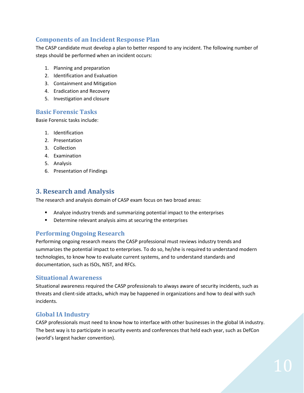### <span id="page-9-0"></span>**Components of an Incident Response Plan**

The CASP candidate must develop a plan to better respond to any incident. The following number of steps should be performed when an incident occurs:

- 1. Planning and preparation
- 2. Identification and Evaluation
- 3. Containment and Mitigation
- 4. Eradication and Recovery
- 5. Investigation and closure

#### <span id="page-9-1"></span>**Basic Forensic Tasks**

Basie Forensic tasks include:

- 1. Identification
- 2. Presentation
- 3. Collection
- 4. Examination
- 5. Analysis
- 6. Presentation of Findings

#### <span id="page-9-2"></span>**3. Research and Analysis**

The research and analysis domain of CASP exam focus on two broad areas:

- Analyze industry trends and summarizing potential impact to the enterprises
- Determine relevant analysis aims at securing the enterprises

#### <span id="page-9-3"></span>**Performing Ongoing Research**

Performing ongoing research means the CASP professional must reviews industry trends and summarizes the potential impact to enterprises. To do so, he/she is required to understand modern technologies, to know how to evaluate current systems, and to understand standards and documentation, such as ISOs, NIST, and RFCs.

#### <span id="page-9-4"></span>**Situational Awareness**

Situational awareness required the CASP professionals to always aware of security incidents, such as threats and client-side attacks, which may be happened in organizations and how to deal with such incidents.

#### <span id="page-9-5"></span>**Global IA Industry**

CASP professionals must need to know how to interface with other businesses in the global IA industry. The best way is to participate in security events and conferences that held each year, such as DefCon (world's largest hacker convention).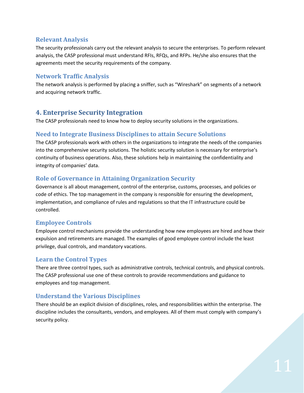#### <span id="page-10-0"></span>**Relevant Analysis**

The security professionals carry out the relevant analysis to secure the enterprises. To perform relevant analysis, the CASP professional must understand RFIs, RFQs, and RFPs. He/she also ensures that the agreements meet the security requirements of the company.

### <span id="page-10-1"></span>**Network Traffic Analysis**

The network analysis is performed by placing a sniffer, such as "Wireshark" on segments of a network and acquiring network traffic.

# <span id="page-10-2"></span>**4. Enterprise Security Integration**

The CASP professionals need to know how to deploy security solutions in the organizations.

#### <span id="page-10-3"></span>**Need to Integrate Business Disciplines to attain Secure Solutions**

The CASP professionals work with others in the organizations to integrate the needs of the companies into the comprehensive security solutions. The holistic security solution is necessary for enterprise's continuity of business operations. Also, these solutions help in maintaining the confidentiality and integrity of companies' data.

#### <span id="page-10-4"></span>**Role of Governance in Attaining Organization Security**

Governance is all about management, control of the enterprise, customs, processes, and policies or code of ethics. The top management in the company is responsible for ensuring the development, implementation, and compliance of rules and regulations so that the IT infrastructure could be controlled.

### <span id="page-10-5"></span>**Employee Controls**

Employee control mechanisms provide the understanding how new employees are hired and how their expulsion and retirements are managed. The examples of good employee control include the least privilege, dual controls, and mandatory vacations.

### <span id="page-10-6"></span>**Learn the Control Types**

There are three control types, such as administrative controls, technical controls, and physical controls. The CASP professional use one of these controls to provide recommendations and guidance to employees and top management.

### <span id="page-10-7"></span>**Understand the Various Disciplines**

There should be an explicit division of disciplines, roles, and responsibilities within the enterprise. The discipline includes the consultants, vendors, and employees. All of them must comply with company's security policy.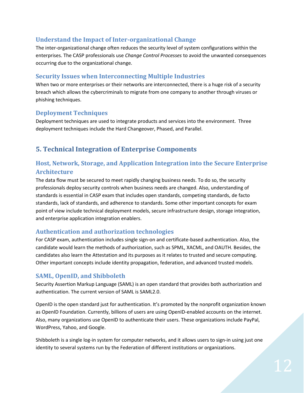### <span id="page-11-0"></span>**Understand the Impact of Inter-organizational Change**

The inter-organizational change often reduces the security level of system configurations within the enterprises. The CASP professionals use *Change Control Processes* to avoid the unwanted consequences occurring due to the organizational change.

### <span id="page-11-1"></span>**Security Issues when Interconnecting Multiple Industries**

When two or more enterprises or their networks are interconnected, there is a huge risk of a security breach which allows the cybercriminals to migrate from one company to another through viruses or phishing techniques.

### <span id="page-11-2"></span>**Deployment Techniques**

Deployment techniques are used to integrate products and services into the environment. Three deployment techniques include the Hard Changeover, Phased, and Parallel.

# <span id="page-11-3"></span>**5. Technical Integration of Enterprise Components**

# <span id="page-11-4"></span>**Host, Network, Storage, and Application Integration into the Secure Enterprise Architecture**

The data flow must be secured to meet rapidly changing business needs. To do so, the security professionals deploy security controls when business needs are changed. Also, understanding of standards is essential in CASP exam that includes open standards, competing standards, de facto standards, lack of standards, and adherence to standards. Some other important concepts for exam point of view include technical deployment models, secure infrastructure design, storage integration, and enterprise application integration enablers.

# <span id="page-11-5"></span>**Authentication and authorization technologies**

For CASP exam, authentication includes single sign-on and certificate-based authentication. Also, the candidate would learn the methods of authorization, such as SPML, XACML, and OAUTH. Besides, the candidates also learn the Attestation and its purposes as it relates to trusted and secure computing. Other important concepts include identity propagation, federation, and advanced trusted models.

# <span id="page-11-6"></span>**SAML, OpenID, and Shibboleth**

Security Assertion Markup Language (SAML) is an open standard that provides both authorization and authentication. The current version of SAML is SAML2.0.

OpenID is the open standard just for authentication. It's promoted by the nonprofit organization known as OpenID Foundation. Currently, billions of users are using OpenID-enabled accounts on the internet. Also, many organizations use OpenID to authenticate their users. These organizations include PayPal, WordPress, Yahoo, and Google.

Shibboleth is a single log-in system for computer networks, and it allows users to sign-in using just one identity to several systems run by the Federation of different institutions or organizations.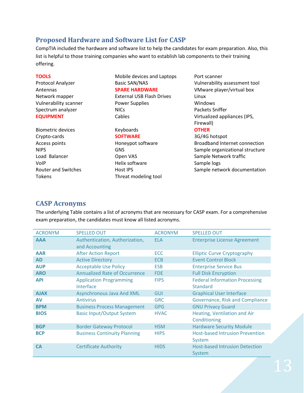# <span id="page-12-0"></span>**Proposed Hardware and Software List for CASP**

CompTIA included the hardware and software list to help the candidates for exam preparation. Also, this list is helpful to those training companies who want to establish lab components to their training offering.

Biometric devices **COTHER CONTER CONTER** Crypto-cards **SOFTWARE** 3G/4G hotspot

# **TOOLS** Mobile devices and Laptops Port scanner Antennas **SPARE HARDWARE** VMware player/virtual box Network mapper **External USB Flash Drives** Linux Vulnerability scanner **Power Supplies** Windows

Spectrum analyzer NICs Packets Sniffer

VoIP **Helix software** Sample logs Tokens Threat modeling tool

Protocol Analyzer **Basic SAN/NAS** Vulnerability assessment tool **EQUIPMENT** Cables Cables Virtualized appliances (IPS, Firewall)

Access points **Honeypot software** Broadband Internet connection NIPS GNS GNS Sample organizational structure Load Balancer **Sample Network traffic** Copen VAS Sample Network traffic Router and Switches **Host IPS** Host IPS Sample network documentation

# <span id="page-12-1"></span>**CASP Acronyms**

The underlying Table contains a list of acronyms that are necessary for CASP exam. For a comprehensive exam preparation, the candidates must know all listed acronyms.

| <b>ACRONYM</b> | <b>SPELLED OUT</b>                               | <b>ACRONYM</b> | <b>SPELLED OUT</b>                                       |
|----------------|--------------------------------------------------|----------------|----------------------------------------------------------|
| <b>AAA</b>     | Authentication, Authorization,<br>and Accounting | <b>ELA</b>     | <b>Enterprise License Agreement</b>                      |
| <b>AAR</b>     | <b>After Action Report</b>                       | <b>ECC</b>     | <b>Elliptic Curve Cryptography</b>                       |
| <b>AD</b>      | <b>Active Directory</b>                          | <b>ECB</b>     | <b>Event Control Block</b>                               |
| <b>AUP</b>     | <b>Acceptable Use Policy</b>                     | <b>ESB</b>     | <b>Enterprise Service Bus</b>                            |
| <b>ARO</b>     | <b>Annualized Rate of Occurrence</b>             | <b>FDE</b>     | <b>Full Disk Encryption</b>                              |
| <b>API</b>     | <b>Application Programming</b><br>Interface      | <b>FIPS</b>    | <b>Federal Information Processing</b><br><b>Standard</b> |
| <b>AJAX</b>    | <b>Asynchronous Java And XML</b>                 | GUI            | <b>Graphical User Interface</b>                          |
| AV             | <b>Antivirus</b>                                 | <b>GRC</b>     | Governance, Risk and Compliance                          |
| <b>BPM</b>     | <b>Business Process Management</b>               | <b>GPG</b>     | <b>GNU Privacy Guard</b>                                 |
| <b>BIOS</b>    | <b>Basic Input/Output System</b>                 | <b>HVAC</b>    | Heating, Ventilation and Air<br>Conditioning             |
| <b>BGP</b>     | <b>Border Gateway Protocol</b>                   | <b>HSM</b>     | <b>Hardware Security Module</b>                          |
| <b>BCP</b>     | <b>Business Continuity Planning</b>              | <b>HIPS</b>    | <b>Host-based Intrusion Prevention</b><br>System         |
| <b>CA</b>      | <b>Certificate Authority</b>                     | <b>HIDS</b>    | <b>Host-based Intrusion Detection</b><br>System          |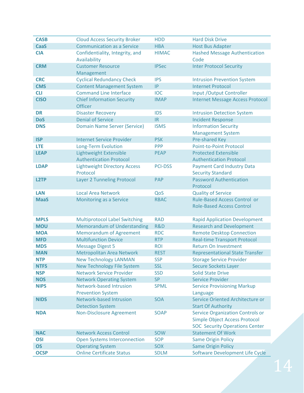| <b>CASB</b> | <b>Cloud Access Security Broker</b>                        | <b>HDD</b>     | <b>Hard Disk Drive</b>                                                                                                   |
|-------------|------------------------------------------------------------|----------------|--------------------------------------------------------------------------------------------------------------------------|
| <b>CaaS</b> | <b>Communication as a Service</b>                          | <b>HBA</b>     | <b>Host Bus Adapter</b>                                                                                                  |
| <b>CIA</b>  | Confidentiality, Integrity, and<br>Availability            | <b>HIMAC</b>   | <b>Hashed Message Authentication</b><br>Code                                                                             |
| <b>CRM</b>  | <b>Customer Resource</b><br>Management                     | <b>IPSec</b>   | <b>Inter Protocol Security</b>                                                                                           |
| <b>CRC</b>  | <b>Cyclical Redundancy Check</b>                           | <b>IPS</b>     | <b>Intrusion Prevention System</b>                                                                                       |
| <b>CMS</b>  | <b>Content Management System</b>                           | IP             | <b>Internet Protocol</b>                                                                                                 |
| <b>CLI</b>  | <b>Command Line Interface</b>                              | <b>IOC</b>     | Input / Output Controller                                                                                                |
| <b>CISO</b> | <b>Chief Information Security</b><br><b>Officer</b>        | <b>IMAP</b>    | <b>Internet Message Access Protocol</b>                                                                                  |
| <b>DR</b>   | <b>Disaster Recovery</b>                                   | <b>IDS</b>     | <b>Intrusion Detection System</b>                                                                                        |
| <b>DoS</b>  | <b>Denial of Service</b>                                   | IR             | <b>Incident Response</b>                                                                                                 |
| <b>DNS</b>  | <b>Domain Name Server (Service)</b>                        | <b>ISMS</b>    | <b>Information Security</b><br><b>Management System</b>                                                                  |
| <b>ISP</b>  | <b>Internet Service Provider</b>                           | <b>PSK</b>     | <b>Pre-shared Key</b>                                                                                                    |
| LTE         | <b>Long-Term Evolution</b>                                 | <b>PPP</b>     | <b>Point-to-Point Protocol</b>                                                                                           |
| <b>LEAP</b> | Lightweight Extensible                                     | <b>PEAP</b>    | <b>Protected Extensible</b>                                                                                              |
|             | <b>Authentication Protocol</b>                             |                | <b>Authentication Protocol</b>                                                                                           |
| <b>LDAP</b> | <b>Lightweight Directory Access</b><br>Protocol            | <b>PCI-DSS</b> | <b>Payment Card Industry Data</b><br><b>Security Standard</b>                                                            |
| <b>L2TP</b> | <b>Layer 2 Tunneling Protocol</b>                          | PAP            | <b>Password Authentication</b><br>Protocol                                                                               |
| <b>LAN</b>  | <b>Local Area Network</b>                                  | QoS            | <b>Quality of Service</b>                                                                                                |
| <b>MaaS</b> | <b>Monitoring as a Service</b>                             | <b>RBAC</b>    | <b>Rule-Based Access Control or</b>                                                                                      |
|             |                                                            |                | <b>Role-Based Access Control</b>                                                                                         |
| <b>MPLS</b> | <b>Multiprotocol Label Switching</b>                       | <b>RAD</b>     | <b>Rapid Application Development</b>                                                                                     |
| <b>MOU</b>  | <b>Memorandum of Understanding</b>                         | R&D            | <b>Research and Development</b>                                                                                          |
| <b>MOA</b>  | <b>Memorandum of Agreement</b>                             | <b>RDC</b>     | <b>Remote Desktop Connection</b>                                                                                         |
| <b>MFD</b>  | <b>Multifunction Device</b>                                | <b>RTP</b>     | <b>Real-time Transport Protocol</b>                                                                                      |
| MD5         | <b>Message Digest 5</b>                                    | <b>ROI</b>     | <b>Return On Investment</b>                                                                                              |
| <b>MAN</b>  | <b>Metropolitan Area Network</b>                           | <b>REST</b>    | <b>Representational State Transfer</b>                                                                                   |
| NTP.        | <b>New Technology LANMAN</b>                               | SSP            | <b>Storage Service Provider</b>                                                                                          |
| <b>NTFS</b> | <b>New Technology File System</b>                          | <b>SSL</b>     | <b>Secure Sockets Layer</b>                                                                                              |
| <b>NSP</b>  | <b>Network Service Provider</b>                            | <b>SSD</b>     | <b>Solid State Drive</b>                                                                                                 |
| <b>NOS</b>  | <b>Network Operating System</b>                            | <b>SP</b>      | <b>Service Provider</b>                                                                                                  |
| <b>NIPS</b> | <b>Network-based Intrusion</b><br><b>Prevention System</b> | <b>SPML</b>    | <b>Service Provisioning Markup</b><br>Language                                                                           |
| <b>NIDS</b> | <b>Network-based Intrusion</b>                             | <b>SOA</b>     | Service Oriented Architecture or                                                                                         |
|             | <b>Detection System</b>                                    |                | <b>Start Of Authority</b>                                                                                                |
| <b>NDA</b>  | <b>Non-Disclosure Agreement</b>                            | <b>SOAP</b>    | <b>Service Organization Controls or</b><br><b>Simple Object Access Protocol</b><br><b>SOC Security Operations Center</b> |
| <b>NAC</b>  | <b>Network Access Control</b>                              | <b>SOW</b>     | <b>Statement Of Work</b>                                                                                                 |
| <b>OSI</b>  | <b>Open Systems Interconnection</b>                        | <b>SOP</b>     | <b>Same Origin Policy</b>                                                                                                |
| <b>OS</b>   | <b>Operating System</b>                                    | <b>SOX</b>     | <b>Same Origin Policy</b>                                                                                                |
| <b>OCSP</b> | <b>Online Certificate Status</b>                           | <b>SDLM</b>    | Software Development Life Cycle                                                                                          |